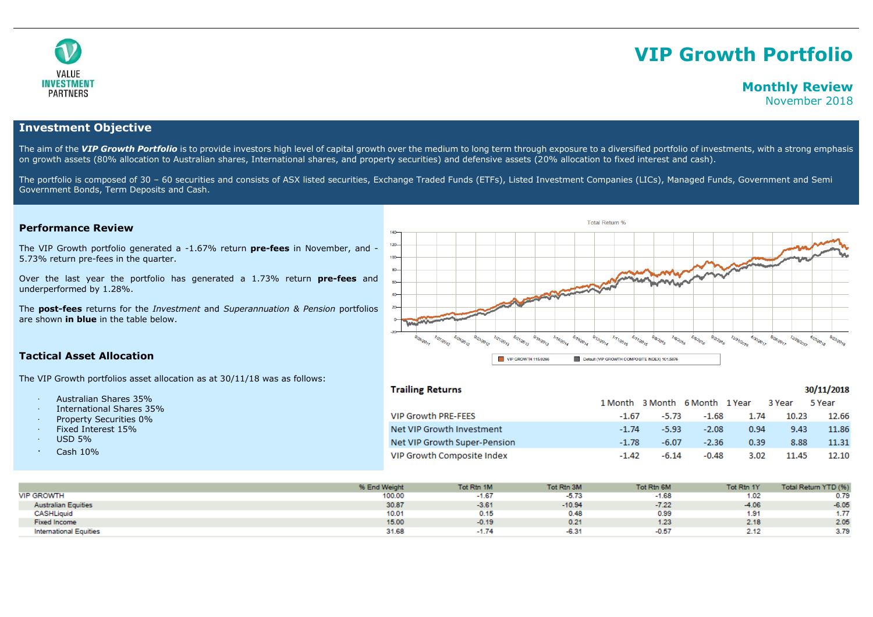

# **VIP Growth Portfolio**

## **Monthly Review**

November 2018

30/11/2018

## **Investment Objective**

The aim of the VIP Growth Portfolio is to provide investors high level of capital growth over the medium to long term through exposure to a diversified portfolio of investments, with a strong emphasis on growth assets (80% allocation to Australian shares, International shares, and property securities) and defensive assets (20% allocation to fixed interest and cash).

The portfolio is composed of 30 - 60 securities and consists of ASX listed securities, Exchange Traded Funds (ETFs), Listed Investment Companies (LICs), Managed Funds, Government and Semi Government Bonds, Term Deposits and Cash.

## **Performance Review**

The VIP Growth portfolio generated a -1.67% return **pre-fees** in November, and - 5.73% return pre-fees in the quarter.

Over the last year the portfolio has generated a 1.73% return **pre-fees** and underperformed by 1.28%.

The **post-fees** returns for the *Investment* and *Superannuation & Pension* portfolios are shown **in blue** in the table below.



## **Tactical Asset Allocation**

The VIP Growth portfolios asset allocation as at 30/11/18 was as follows:

- · Australian Shares 35%
- · International Shares 35%
- Property Securities 0%
- Fixed Interest 15%
- · USD 5%
- · Cash 10%

## **Trailing Returns**

|                              | 1 Month 3 Month 6 Month 1 Year 3 Year |         |         |      |       | 5 Year |
|------------------------------|---------------------------------------|---------|---------|------|-------|--------|
| <b>VIP Growth PRE-FEES</b>   | $-1.67$                               | -5.73   | -1.68   | 1.74 | 10.23 | 12.66  |
| Net VIP Growth Investment    | $-1.74$                               | $-5.93$ | $-2.08$ | 0.94 | 9.43  | 11.86  |
| Net VIP Growth Super-Pension | $-1.78$                               | $-6.07$ | $-2.36$ | 0.39 | 8.88  | 11.31  |
| VIP Growth Composite Index   | $-1.42$                               | $-6.14$ | $-0.48$ | 3.02 | 11.45 | 12.10  |

|                               | % End Weight | Tot Rtn 1M | Tot Rtn 3M | Tot Rtn 6M | Tot Rtn 1Y | Total Return YTD (%) |
|-------------------------------|--------------|------------|------------|------------|------------|----------------------|
| <b>VIP GROWTH</b>             | 100.00       | $-1.67$    | $-5.73$    | $-1.68$    | 1.02       | 0.79                 |
| <b>Australian Equities</b>    | 30.87        | $-3.61$    | $-10.94$   | $-7.22$    | $-4.06$    | $-6.05$              |
| <b>CASHLiquid</b>             | 10.01        | 0.15       | 0.48       | 0.99       | .91        | 1.77                 |
| <b>Fixed Income</b>           | 15.00        | $-0.19$    | 0.21       | 1.23       | 2.18       | 2.05                 |
| <b>International Equities</b> | 31.68        | $-1.74$    | $-6.31$    | $-0.57$    | 2.12       | 3.79                 |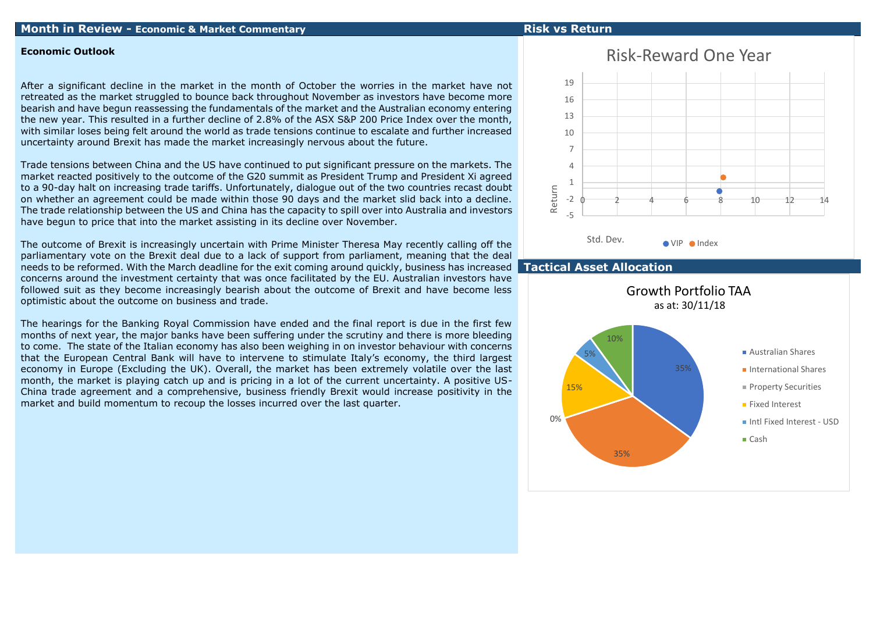## **Month in Review - Economic & Market Commentary Risk vs Return**

## **Economic Outlook**

After a significant decline in the market in the month of October the worries in the market have not retreated as the market struggled to bounce back throughout November as investors have become more bearish and have begun reassessing the fundamentals of the market and the Australian economy entering the new year. This resulted in a further decline of 2.8% of the ASX S&P 200 Price Index over the month, with similar loses being felt around the world as trade tensions continue to escalate and further increased uncertainty around Brexit has made the market increasingly nervous about the future.

Trade tensions between China and the US have continued to put significant pressure on the markets. The market reacted positively to the outcome of the G20 summit as President Trump and President Xi agreed to a 90-day halt on increasing trade tariffs. Unfortunately, dialogue out of the two countries recast doubt on whether an agreement could be made within those 90 days and the market slid back into a decline. The trade relationship between the US and China has the capacity to spill over into Australia and investors have begun to price that into the market assisting in its decline over November.

The outcome of Brexit is increasingly uncertain with Prime Minister Theresa May recently calling off the parliamentary vote on the Brexit deal due to a lack of support from parliament, meaning that the deal needs to be reformed. With the March deadline for the exit coming around quickly, business has increased concerns around the investment certainty that was once facilitated by the EU. Australian investors have followed suit as they become increasingly bearish about the outcome of Brexit and have become less optimistic about the outcome on business and trade.

The hearings for the Banking Royal Commission have ended and the final report is due in the first few months of next year, the major banks have been suffering under the scrutiny and there is more bleeding to come. The state of the Italian economy has also been weighing in on investor behaviour with concerns that the European Central Bank will have to intervene to stimulate Italy's economy, the third largest economy in Europe (Excluding the UK). Overall, the market has been extremely volatile over the last month, the market is playing catch up and is pricing in a lot of the current uncertainty. A positive US-China trade agreement and a comprehensive, business friendly Brexit would increase positivity in the market and build momentum to recoup the losses incurred over the last quarter.

## Risk-Reward One Year



## **Tactical Asset Allocation**

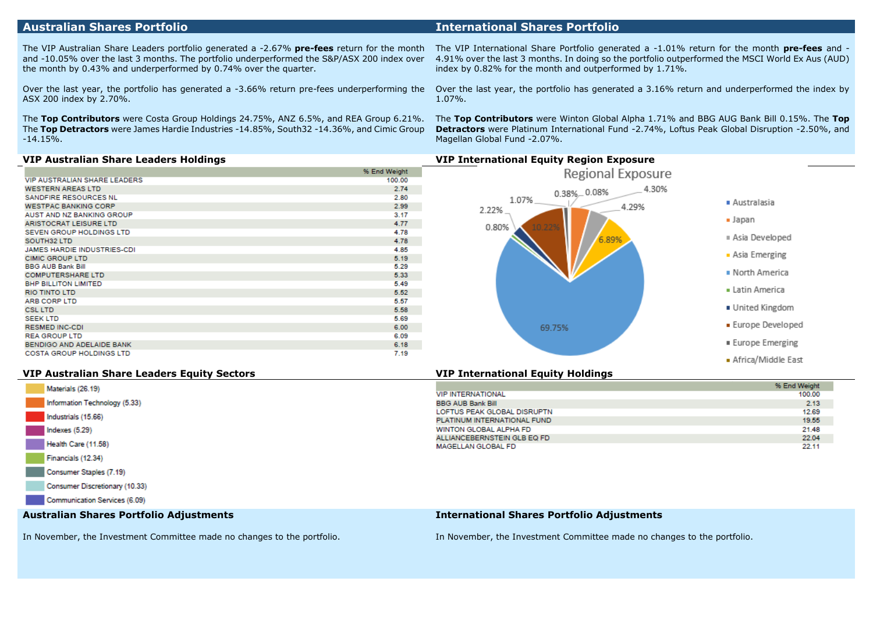The VIP Australian Share Leaders portfolio generated a -2.67% **pre-fees** return for the month and -10.05% over the last 3 months. The portfolio underperformed the S&P/ASX 200 index over the month by 0.43% and underperformed by 0.74% over the quarter.

Over the last year, the portfolio has generated a -3.66% return pre-fees underperforming the ASX 200 index by 2.70%.

The **Top Contributors** were Costa Group Holdings 24.75%, ANZ 6.5%, and REA Group 6.21%. The **Top Detractors** were James Hardie Industries -14.85%, South32 -14.36%, and Cimic Group -14.15%.

The VIP International Share Portfolio generated a -1.01% return for the month **pre-fees** and - 4.91% over the last 3 months. In doing so the portfolio outperformed the MSCI World Ex Aus (AUD) index by 0.82% for the month and outperformed by 1.71%.

Over the last year, the portfolio has generated a 3.16% return and underperformed the index by 1.07%.

The **Top Contributors** were Winton Global Alpha 1.71% and BBG AUG Bank Bill 0.15%. The **Top Detractors** were Platinum International Fund -2.74%, Loftus Peak Global Disruption -2.50%, and Magellan Global Fund -2.07%.

|                                     | % End Weight |
|-------------------------------------|--------------|
| <b>VIP AUSTRALIAN SHARE LEADERS</b> | 100.00       |
| <b>WESTERN AREAS LTD</b>            | 2.74         |
| SANDFIRE RESOURCES NL               | 2.80         |
| <b>WESTPAC BANKING CORP</b>         | 2.99         |
| AUST AND NZ BANKING GROUP           | 3.17         |
| <b>ARISTOCRAT LEISURE LTD</b>       | 4.77         |
| SEVEN GROUP HOLDINGS LTD            | 4.78         |
| SOUTH32 LTD                         | 4.78         |
| JAMES HARDIE INDUSTRIES-CDI         | 4.85         |
| <b>CIMIC GROUP LTD</b>              | 5.19         |
| <b>BBG AUB Bank Bill</b>            | 5.29         |
| <b>COMPUTERSHARE LTD</b>            | 5.33         |
| <b>BHP BILLITON LIMITED</b>         | 5.49         |
| <b>RIO TINTO LTD</b>                | 5.52         |
| ARB CORP LTD                        | 5.57         |
| <b>CSL LTD</b>                      | 5.58         |
| <b>SEEK LTD</b>                     | 5.69         |
| <b>RESMED INC-CDI</b>               | 6.00         |
| <b>REA GROUP LTD</b>                | 6.09         |
| BENDIGO AND ADELAIDE BANK           | 6.18         |
| <b>COSTA GROUP HOLDINGS LTD</b>     | 7.19         |



Africa/Middle East

### **VIP Australian Share Leaders Equity Sectors VIP International Equity Holdings**

| Materials (26.19)                       |                                                   | % End Weight |
|-----------------------------------------|---------------------------------------------------|--------------|
|                                         | <b>VIP INTERNATIONAL</b>                          | 100.00       |
| Information Technology (5.33)           | <b>BBG AUB Bank Bill</b>                          | 2.13         |
| Industrials (15.66)                     | LOFTUS PEAK GLOBAL DISRUPTN                       | 12.69        |
|                                         | PLATINUM INTERNATIONAL FUND                       | 19.55        |
| Indexes(5.29)                           | WINTON GLOBAL ALPHA FD                            | 21.48        |
|                                         | ALLIANCEBERNSTEIN GLB EQ FD                       | 22.04        |
| Health Care (11.58)                     | <b>MAGELLAN GLOBAL FD</b>                         | 22.11        |
| Financials (12.34)                      |                                                   |              |
| Consumer Staples (7.19)                 |                                                   |              |
| Consumer Discretionary (10.33)          |                                                   |              |
| Communication Services (6.09)           |                                                   |              |
| Australian Shares Portfolio Adjustments | <b>International Shares Portfolio Adjustments</b> |              |

In November, the Investment Committee made no changes to the portfolio.

In November, the Investment Committee made no changes to the portfolio.

## **Australian Shares Portfolio International Shares Portfolio**